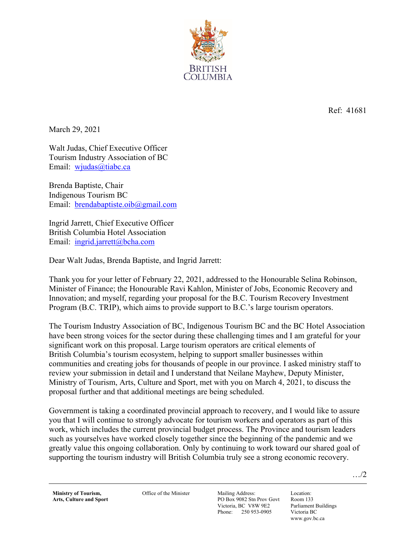

Ref: 41681

March 29, 2021

Walt Judas, Chief Executive Officer Tourism Industry Association of BC Email: wjudas@tiabc.ca

Brenda Baptiste, Chair Indigenous Tourism BC Email: brendabaptiste.oib@gmail.com

Ingrid Jarrett, Chief Executive Officer British Columbia Hotel Association Email: ingrid.jarrett@bcha.com

Dear Walt Judas, Brenda Baptiste, and Ingrid Jarrett:

Thank you for your letter of February 22, 2021, addressed to the Honourable Selina Robinson, Minister of Finance; the Honourable Ravi Kahlon, Minister of Jobs, Economic Recovery and Innovation; and myself, regarding your proposal for the B.C. Tourism Recovery Investment Program (B.C. TRIP), which aims to provide support to B.C.'s large tourism operators.

The Tourism Industry Association of BC, Indigenous Tourism BC and the BC Hotel Association have been strong voices for the sector during these challenging times and I am grateful for your significant work on this proposal. Large tourism operators are critical elements of British Columbia's tourism ecosystem, helping to support smaller businesses within communities and creating jobs for thousands of people in our province. I asked ministry staff to review your submission in detail and I understand that Neilane Mayhew, Deputy Minister, Ministry of Tourism, Arts, Culture and Sport, met with you on March 4, 2021, to discuss the proposal further and that additional meetings are being scheduled.

Government is taking a coordinated provincial approach to recovery, and I would like to assure you that I will continue to strongly advocate for tourism workers and operators as part of this work, which includes the current provincial budget process. The Province and tourism leaders such as yourselves have worked closely together since the beginning of the pandemic and we greatly value this ongoing collaboration. Only by continuing to work toward our shared goal of supporting the tourism industry will British Columbia truly see a strong economic recovery.

**Ministry of Tourism, Arts, Culture and Sport**  Office of the Minister Mailing Address:

PO Box 9082 Stn Prov Govt Victoria, BC V8W 9E2 Phone: 250 953-0905

Location: Room 133 Parliament Buildings Victoria BC www.gov.bc.ca

…/2